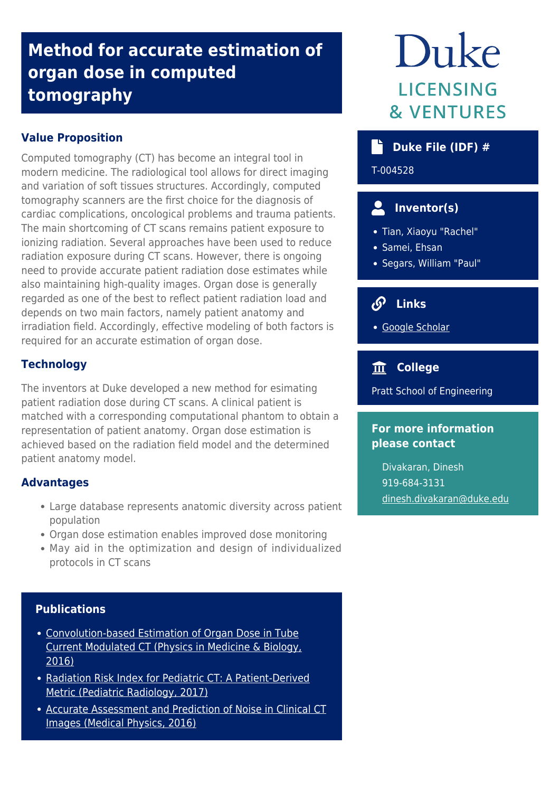## **Method for accurate estimation of organ dose in computed tomography**

#### **Value Proposition**

Computed tomography (CT) has become an integral tool in modern medicine. The radiological tool allows for direct imaging and variation of soft tissues structures. Accordingly, computed tomography scanners are the first choice for the diagnosis of cardiac complications, oncological problems and trauma patients. The main shortcoming of CT scans remains patient exposure to ionizing radiation. Several approaches have been used to reduce radiation exposure during CT scans. However, there is ongoing need to provide accurate patient radiation dose estimates while also maintaining high-quality images. Organ dose is generally regarded as one of the best to reflect patient radiation load and depends on two main factors, namely patient anatomy and irradiation field. Accordingly, effective modeling of both factors is required for an accurate estimation of organ dose.

#### **Technology**

The inventors at Duke developed a new method for esimating patient radiation dose during CT scans. A clinical patient is matched with a corresponding computational phantom to obtain a representation of patient anatomy. Organ dose estimation is achieved based on the radiation field model and the determined patient anatomy model.

#### **Advantages**

- Large database represents anatomic diversity across patient population
- Organ dose estimation enables improved dose monitoring
- May aid in the optimization and design of individualized protocols in CT scans

#### **Publications**

- [Convolution-based Estimation of Organ Dose in Tube](https://pubmed.ncbi.nlm.nih.gov/27119974-convolution-based-estimation-of-organ-dose-in-tube-current-modulated-ct/?from_term=samei+and+tian&from_pos=1) [Current Modulated CT \(Physics in Medicine & Biology,](https://pubmed.ncbi.nlm.nih.gov/27119974-convolution-based-estimation-of-organ-dose-in-tube-current-modulated-ct/?from_term=samei+and+tian&from_pos=1) [2016\)](https://pubmed.ncbi.nlm.nih.gov/27119974-convolution-based-estimation-of-organ-dose-in-tube-current-modulated-ct/?from_term=samei+and+tian&from_pos=1)
- [Radiation Risk Index for Pediatric CT: A Patient-Derived](https://link.springer.com/article/10.1007%2Fs00247-017-3973-z) [Metric \(Pediatric Radiology, 2017\)](https://link.springer.com/article/10.1007%2Fs00247-017-3973-z)
- [Accurate Assessment and Prediction of Noise in Clinical CT](https://pubmed.ncbi.nlm.nih.gov/26745940-accurate-assessment-and-prediction-of-noise-in-clinical-ct-images/?from_term=samei+and+tian&from_pos=3) [Images \(Medical Physics, 2016\)](https://pubmed.ncbi.nlm.nih.gov/26745940-accurate-assessment-and-prediction-of-noise-in-clinical-ct-images/?from_term=samei+and+tian&from_pos=3)

# Duke **LICENSING & VENTURES**

#### **b** Duke File (IDF) #

T-004528

### **Inventor(s)**

- Tian, Xiaoyu "Rachel"
- Samei, Ehsan
- Segars, William "Paul"

### **Links**

[Google Scholar](https://scholar.google.com/citations?user=tvjdppAAAAAJ&hl=en)

#### **College**

Pratt School of Engineering

#### **For more information please contact**

Divakaran, Dinesh 919-684-3131 [dinesh.divakaran@duke.edu](mailto:dinesh.divakaran@duke.edu)